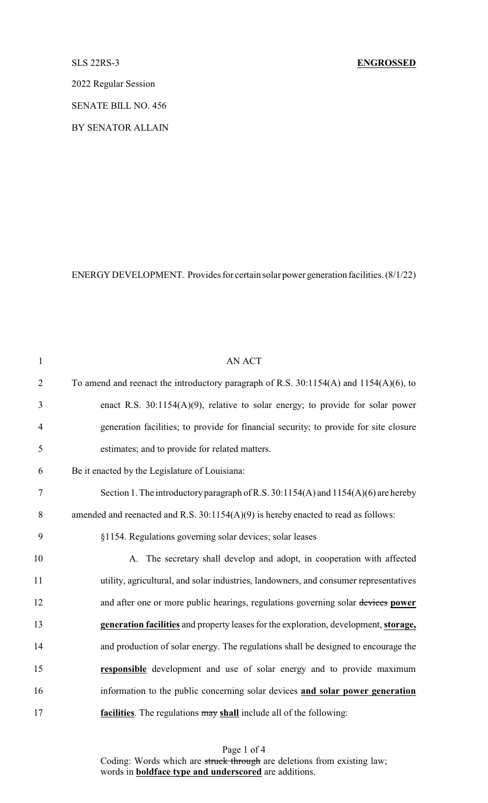### SLS 22RS-3 **ENGROSSED**

2022 Regular Session

SENATE BILL NO. 456

BY SENATOR ALLAIN

ENERGY DEVELOPMENT. Provides for certain solar power generation facilities. (8/1/22)

| $\mathbf{1}$   | AN ACT                                                                                     |
|----------------|--------------------------------------------------------------------------------------------|
| $\overline{2}$ | To amend and reenact the introductory paragraph of R.S. $30:1154(A)$ and $1154(A)(6)$ , to |
| 3              | enact R.S. $30:1154(A)(9)$ , relative to solar energy; to provide for solar power          |
| $\overline{4}$ | generation facilities; to provide for financial security; to provide for site closure      |
| 5              | estimates; and to provide for related matters.                                             |
| 6              | Be it enacted by the Legislature of Louisiana:                                             |
| $\tau$         | Section 1. The introductory paragraph of R.S. 30:1154(A) and 1154(A)(6) are hereby         |
| 8              | amended and reenacted and R.S. $30:1154(A)(9)$ is hereby enacted to read as follows:       |
| 9              | §1154. Regulations governing solar devices; solar leases                                   |
| 10             | A. The secretary shall develop and adopt, in cooperation with affected                     |
| 11             | utility, agricultural, and solar industries, landowners, and consumer representatives      |
| 12             | and after one or more public hearings, regulations governing solar devices power           |
| 13             | generation facilities and property leases for the exploration, development, storage,       |
| 14             | and production of solar energy. The regulations shall be designed to encourage the         |
| 15             | responsible development and use of solar energy and to provide maximum                     |
| 16             | information to the public concerning solar devices and solar power generation              |
| 17             | facilities. The regulations may shall include all of the following:                        |

Page 1 of 4 Coding: Words which are struck through are deletions from existing law; words in **boldface type and underscored** are additions.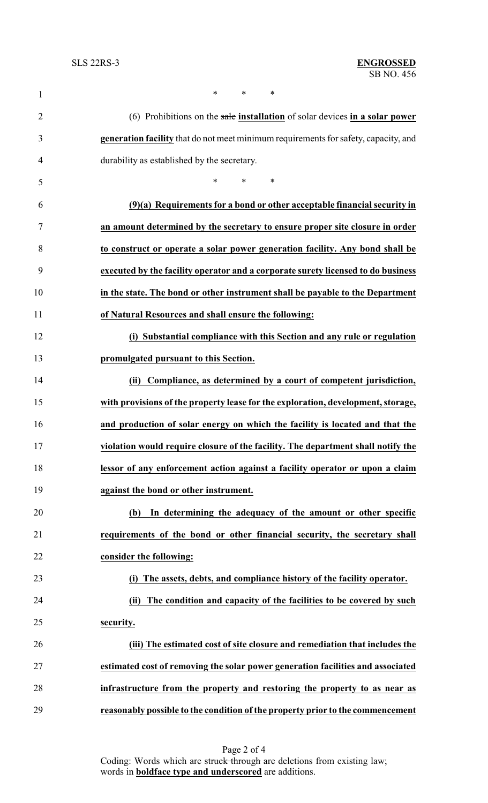| $\mathbf{1}$   | *<br>*<br>$\ast$                                                                    |
|----------------|-------------------------------------------------------------------------------------|
| $\overline{2}$ | (6) Prohibitions on the sale installation of solar devices in a solar power         |
| 3              | generation facility that do not meet minimum requirements for safety, capacity, and |
| 4              | durability as established by the secretary.                                         |
| 5              | $*$ and $*$<br>$\ast$<br>∗                                                          |
| 6              | $(9)(a)$ Requirements for a bond or other acceptable financial security in          |
| 7              | an amount determined by the secretary to ensure proper site closure in order        |
| 8              | to construct or operate a solar power generation facility. Any bond shall be        |
| 9              | executed by the facility operator and a corporate surety licensed to do business    |
| 10             | in the state. The bond or other instrument shall be payable to the Department       |
| 11             | of Natural Resources and shall ensure the following:                                |
| 12             | (i) Substantial compliance with this Section and any rule or regulation             |
| 13             | promulgated pursuant to this Section.                                               |
| 14             | Compliance, as determined by a court of competent jurisdiction,<br>(ii)             |
| 15             | with provisions of the property lease for the exploration, development, storage,    |
| 16             | and production of solar energy on which the facility is located and that the        |
| 17             | violation would require closure of the facility. The department shall notify the    |
| 18             | lessor of any enforcement action against a facility operator or upon a claim        |
| 19             | against the bond or other instrument.                                               |
| 20             | In determining the adequacy of the amount or other specific<br>(b)                  |
| 21             | requirements of the bond or other financial security, the secretary shall           |
| 22             | consider the following:                                                             |
| 23             | The assets, debts, and compliance history of the facility operator.                 |
| 24             | The condition and capacity of the facilities to be covered by such<br>(ii)          |
| 25             | security.                                                                           |
| 26             | (iii) The estimated cost of site closure and remediation that includes the          |
| 27             | estimated cost of removing the solar power generation facilities and associated     |
| 28             | infrastructure from the property and restoring the property to as near as           |
| 29             | reasonably possible to the condition of the property prior to the commencement      |

Page 2 of 4 Coding: Words which are struck through are deletions from existing law; words in **boldface type and underscored** are additions.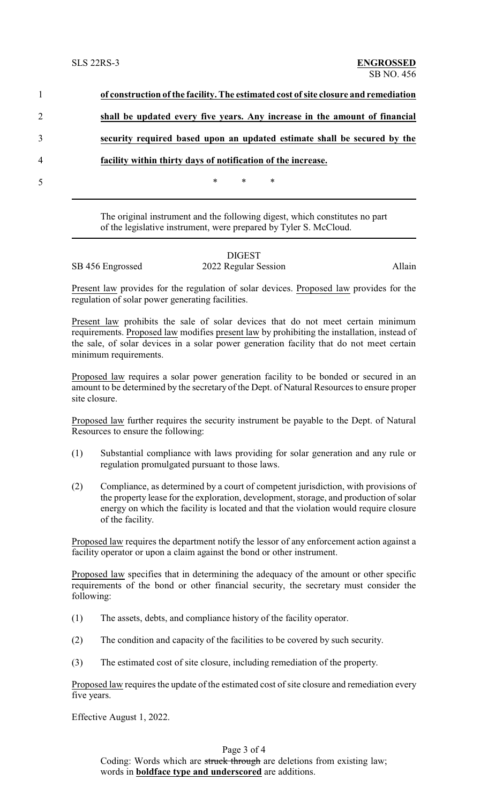|                | of construction of the facility. The estimated cost of site closure and remediation |
|----------------|-------------------------------------------------------------------------------------|
| $\overline{2}$ | shall be updated every five years. Any increase in the amount of financial          |
|                | security required based upon an updated estimate shall be secured by the            |
| 4              | facility within thirty days of notification of the increase.                        |
| 5              | $\ast$<br>$\ast$<br>∗                                                               |
|                |                                                                                     |

The original instrument and the following digest, which constitutes no part of the legislative instrument, were prepared by Tyler S. McCloud.

# DIGEST SB 456 Engrossed 2022 Regular Session Allain

Present law provides for the regulation of solar devices. Proposed law provides for the regulation of solar power generating facilities.

Present law prohibits the sale of solar devices that do not meet certain minimum requirements. Proposed law modifies present law by prohibiting the installation, instead of the sale, of solar devices in a solar power generation facility that do not meet certain minimum requirements.

Proposed law requires a solar power generation facility to be bonded or secured in an amount to be determined by the secretary of the Dept. of Natural Resources to ensure proper site closure.

Proposed law further requires the security instrument be payable to the Dept. of Natural Resources to ensure the following:

- (1) Substantial compliance with laws providing for solar generation and any rule or regulation promulgated pursuant to those laws.
- (2) Compliance, as determined by a court of competent jurisdiction, with provisions of the property lease for the exploration, development, storage, and production of solar energy on which the facility is located and that the violation would require closure of the facility.

Proposed law requires the department notify the lessor of any enforcement action against a facility operator or upon a claim against the bond or other instrument.

Proposed law specifies that in determining the adequacy of the amount or other specific requirements of the bond or other financial security, the secretary must consider the following:

- (1) The assets, debts, and compliance history of the facility operator.
- (2) The condition and capacity of the facilities to be covered by such security.
- (3) The estimated cost of site closure, including remediation of the property.

Proposed law requires the update of the estimated cost of site closure and remediation every five years.

Effective August 1, 2022.

# Page 3 of 4

Coding: Words which are struck through are deletions from existing law; words in **boldface type and underscored** are additions.